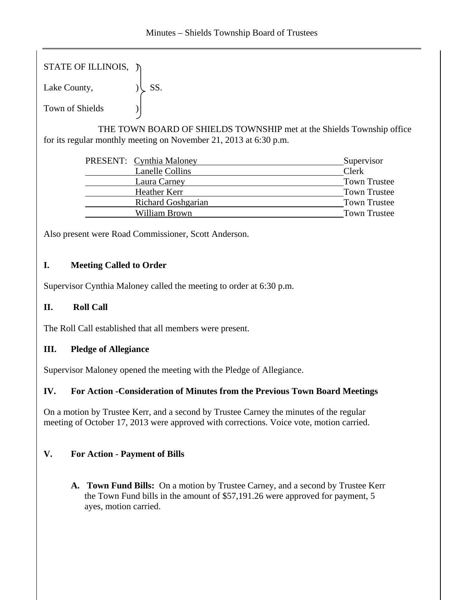STATE OF ILLINOIS,  $\ni$ 

Lake County,  $|\text{SS.}}$ 

Town of Shields )

 THE TOWN BOARD OF SHIELDS TOWNSHIP met at the Shields Township office for its regular monthly meeting on November 21, 2013 at 6:30 p.m.

| PRESENT: Cynthia Maloney  | Supervisor          |
|---------------------------|---------------------|
| Lanelle Collins           | Clerk               |
| Laura Carney              | <b>Town Trustee</b> |
| Heather Kerr              | <b>Town Trustee</b> |
| <b>Richard Goshgarian</b> | <b>Town Trustee</b> |
| William Brown             | <b>Town Trustee</b> |

Also present were Road Commissioner, Scott Anderson.

# **I. Meeting Called to Order**

Supervisor Cynthia Maloney called the meeting to order at 6:30 p.m.

# **II. Roll Call**

The Roll Call established that all members were present.

# **III. Pledge of Allegiance**

Supervisor Maloney opened the meeting with the Pledge of Allegiance.

# **IV. For Action -Consideration of Minutes from the Previous Town Board Meetings**

On a motion by Trustee Kerr, and a second by Trustee Carney the minutes of the regular meeting of October 17, 2013 were approved with corrections. Voice vote, motion carried.

# **V. For Action - Payment of Bills**

**A. Town Fund Bills:** On a motion by Trustee Carney, and a second by Trustee Kerr the Town Fund bills in the amount of \$57,191.26 were approved for payment, 5 ayes, motion carried.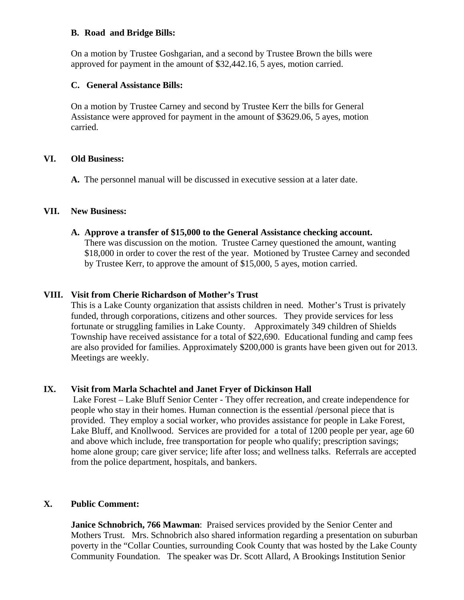### **B. Road and Bridge Bills:**

On a motion by Trustee Goshgarian, and a second by Trustee Brown the bills were approved for payment in the amount of \$32,442.16, 5 ayes, motion carried.

# **C. General Assistance Bills:**

On a motion by Trustee Carney and second by Trustee Kerr the bills for General Assistance were approved for payment in the amount of \$3629.06, 5 ayes, motion carried.

# **VI. Old Business:**

**A.** The personnel manual will be discussed in executive session at a later date.

### **VII. New Business:**

**A. Approve a transfer of \$15,000 to the General Assistance checking account.**  There was discussion on the motion. Trustee Carney questioned the amount, wanting \$18,000 in order to cover the rest of the year. Motioned by Trustee Carney and seconded by Trustee Kerr, to approve the amount of \$15,000, 5 ayes, motion carried.

### **VIII. Visit from Cherie Richardson of Mother's Trust**

This is a Lake County organization that assists children in need. Mother's Trust is privately funded, through corporations, citizens and other sources. They provide services for less fortunate or struggling families in Lake County. Approximately 349 children of Shields Township have received assistance for a total of \$22,690. Educational funding and camp fees are also provided for families. Approximately \$200,000 is grants have been given out for 2013. Meetings are weekly.

# **IX. Visit from Marla Schachtel and Janet Fryer of Dickinson Hall**

 Lake Forest – Lake Bluff Senior Center - They offer recreation, and create independence for people who stay in their homes. Human connection is the essential /personal piece that is provided. They employ a social worker, who provides assistance for people in Lake Forest, Lake Bluff, and Knollwood. Services are provided for a total of 1200 people per year, age 60 and above which include, free transportation for people who qualify; prescription savings; home alone group; care giver service; life after loss; and wellness talks. Referrals are accepted from the police department, hospitals, and bankers.

#### **X. Public Comment:**

**Janice Schnobrich, 766 Mawman**: Praised services provided by the Senior Center and Mothers Trust. Mrs. Schnobrich also shared information regarding a presentation on suburban poverty in the "Collar Counties, surrounding Cook County that was hosted by the Lake County Community Foundation. The speaker was Dr. Scott Allard, A Brookings Institution Senior